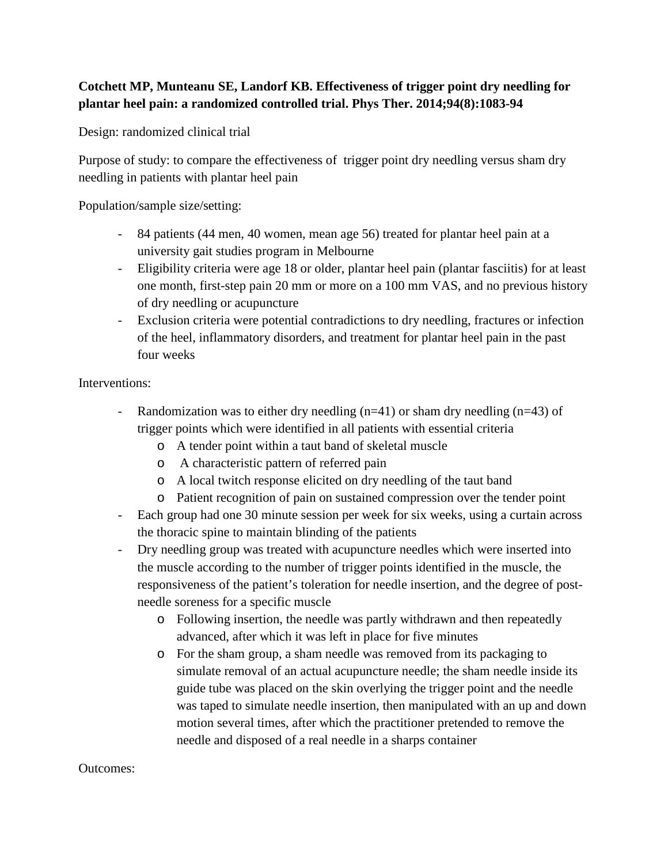## **Cotchett MP, Munteanu SE, Landorf KB. Effectiveness of trigger point dry needling for plantar heel pain: a randomized controlled trial. Phys Ther. 2014;94(8):1083-94**

Design: randomized clinical trial

Purpose of study: to compare the effectiveness of trigger point dry needling versus sham dry needling in patients with plantar heel pain

Population/sample size/setting:

- 84 patients (44 men, 40 women, mean age 56) treated for plantar heel pain at a university gait studies program in Melbourne
- Eligibility criteria were age 18 or older, plantar heel pain (plantar fasciitis) for at least one month, first-step pain 20 mm or more on a 100 mm VAS, and no previous history of dry needling or acupuncture
- Exclusion criteria were potential contradictions to dry needling, fractures or infection of the heel, inflammatory disorders, and treatment for plantar heel pain in the past four weeks

## Interventions:

- Randomization was to either dry needling  $(n=41)$  or sham dry needling  $(n=43)$  of trigger points which were identified in all patients with essential criteria
	- o A tender point within a taut band of skeletal muscle
	- o A characteristic pattern of referred pain
	- o A local twitch response elicited on dry needling of the taut band
	- o Patient recognition of pain on sustained compression over the tender point
- Each group had one 30 minute session per week for six weeks, using a curtain across the thoracic spine to maintain blinding of the patients
- Dry needling group was treated with acupuncture needles which were inserted into the muscle according to the number of trigger points identified in the muscle, the responsiveness of the patient's toleration for needle insertion, and the degree of postneedle soreness for a specific muscle
	- o Following insertion, the needle was partly withdrawn and then repeatedly advanced, after which it was left in place for five minutes
	- o For the sham group, a sham needle was removed from its packaging to simulate removal of an actual acupuncture needle; the sham needle inside its guide tube was placed on the skin overlying the trigger point and the needle was taped to simulate needle insertion, then manipulated with an up and down motion several times, after which the practitioner pretended to remove the needle and disposed of a real needle in a sharps container

## Outcomes: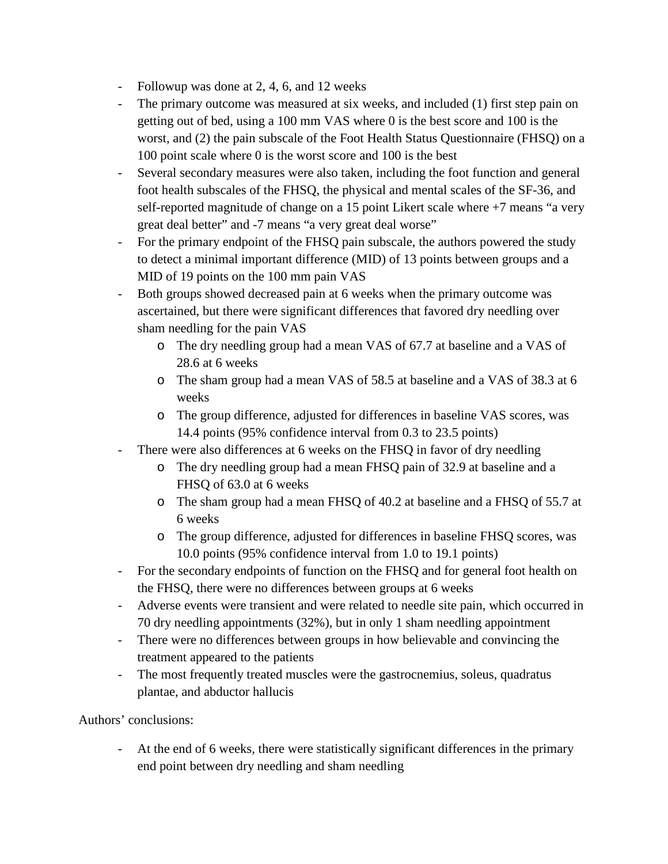- Followup was done at 2, 4, 6, and 12 weeks
- The primary outcome was measured at six weeks, and included (1) first step pain on getting out of bed, using a 100 mm VAS where 0 is the best score and 100 is the worst, and (2) the pain subscale of the Foot Health Status Questionnaire (FHSQ) on a 100 point scale where 0 is the worst score and 100 is the best
- Several secondary measures were also taken, including the foot function and general foot health subscales of the FHSQ, the physical and mental scales of the SF-36, and self-reported magnitude of change on a 15 point Likert scale where +7 means "a very great deal better" and -7 means "a very great deal worse"
- For the primary endpoint of the FHSQ pain subscale, the authors powered the study to detect a minimal important difference (MID) of 13 points between groups and a MID of 19 points on the 100 mm pain VAS
- Both groups showed decreased pain at 6 weeks when the primary outcome was ascertained, but there were significant differences that favored dry needling over sham needling for the pain VAS
	- o The dry needling group had a mean VAS of 67.7 at baseline and a VAS of 28.6 at 6 weeks
	- o The sham group had a mean VAS of 58.5 at baseline and a VAS of 38.3 at 6 weeks
	- o The group difference, adjusted for differences in baseline VAS scores, was 14.4 points (95% confidence interval from 0.3 to 23.5 points)
- There were also differences at 6 weeks on the FHSQ in favor of dry needling
	- o The dry needling group had a mean FHSQ pain of 32.9 at baseline and a FHSQ of 63.0 at 6 weeks
	- o The sham group had a mean FHSQ of 40.2 at baseline and a FHSQ of 55.7 at 6 weeks
	- o The group difference, adjusted for differences in baseline FHSQ scores, was 10.0 points (95% confidence interval from 1.0 to 19.1 points)
- For the secondary endpoints of function on the FHSQ and for general foot health on the FHSQ, there were no differences between groups at 6 weeks
- Adverse events were transient and were related to needle site pain, which occurred in 70 dry needling appointments (32%), but in only 1 sham needling appointment
- There were no differences between groups in how believable and convincing the treatment appeared to the patients
- The most frequently treated muscles were the gastrocnemius, soleus, quadratus plantae, and abductor hallucis

Authors' conclusions:

At the end of 6 weeks, there were statistically significant differences in the primary end point between dry needling and sham needling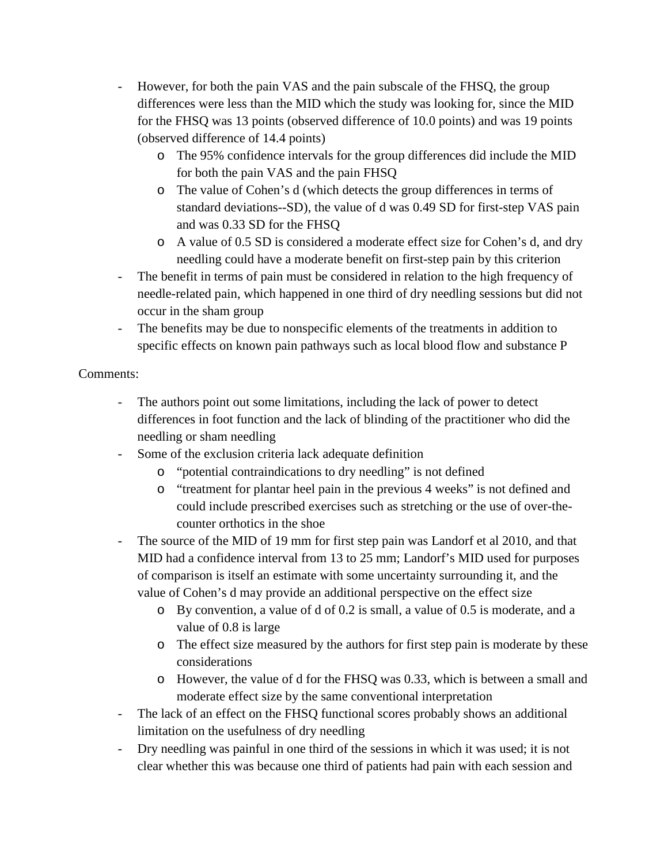- However, for both the pain VAS and the pain subscale of the FHSQ, the group differences were less than the MID which the study was looking for, since the MID for the FHSQ was 13 points (observed difference of 10.0 points) and was 19 points (observed difference of 14.4 points)
	- o The 95% confidence intervals for the group differences did include the MID for both the pain VAS and the pain FHSQ
	- o The value of Cohen's d (which detects the group differences in terms of standard deviations--SD), the value of d was 0.49 SD for first-step VAS pain and was 0.33 SD for the FHSQ
	- o A value of 0.5 SD is considered a moderate effect size for Cohen's d, and dry needling could have a moderate benefit on first-step pain by this criterion
- The benefit in terms of pain must be considered in relation to the high frequency of needle-related pain, which happened in one third of dry needling sessions but did not occur in the sham group
- The benefits may be due to nonspecific elements of the treatments in addition to specific effects on known pain pathways such as local blood flow and substance P

Comments:

- The authors point out some limitations, including the lack of power to detect differences in foot function and the lack of blinding of the practitioner who did the needling or sham needling
- Some of the exclusion criteria lack adequate definition
	- o "potential contraindications to dry needling" is not defined
	- o "treatment for plantar heel pain in the previous 4 weeks" is not defined and could include prescribed exercises such as stretching or the use of over-thecounter orthotics in the shoe
- The source of the MID of 19 mm for first step pain was Landorf et al 2010, and that MID had a confidence interval from 13 to 25 mm; Landorf's MID used for purposes of comparison is itself an estimate with some uncertainty surrounding it, and the value of Cohen's d may provide an additional perspective on the effect size
	- o By convention, a value of d of 0.2 is small, a value of 0.5 is moderate, and a value of 0.8 is large
	- o The effect size measured by the authors for first step pain is moderate by these considerations
	- o However, the value of d for the FHSQ was 0.33, which is between a small and moderate effect size by the same conventional interpretation
- The lack of an effect on the FHSQ functional scores probably shows an additional limitation on the usefulness of dry needling
- Dry needling was painful in one third of the sessions in which it was used; it is not clear whether this was because one third of patients had pain with each session and